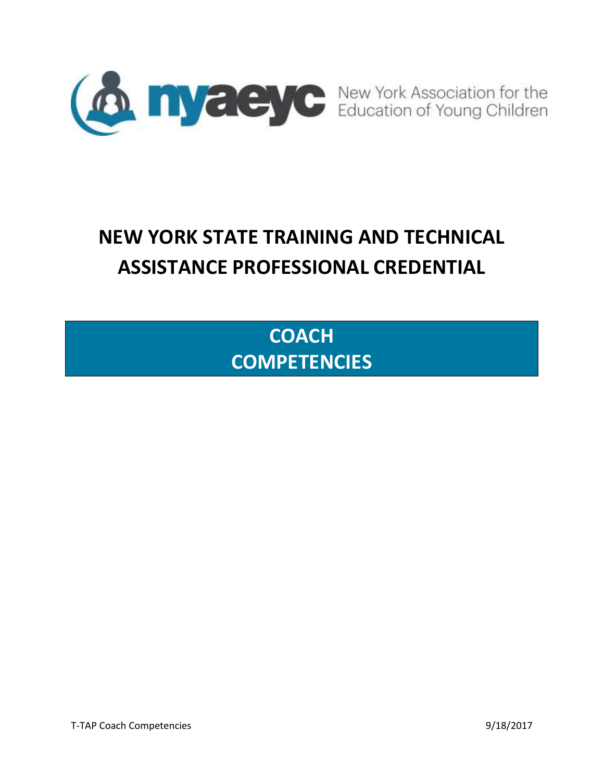

# **NEW YORK STATE TRAINING AND TECHNICAL ASSISTANCE PROFESSIONAL CREDENTIAL**

**COACH COMPETENCIES**

T-TAP Coach Competencies 9/18/2017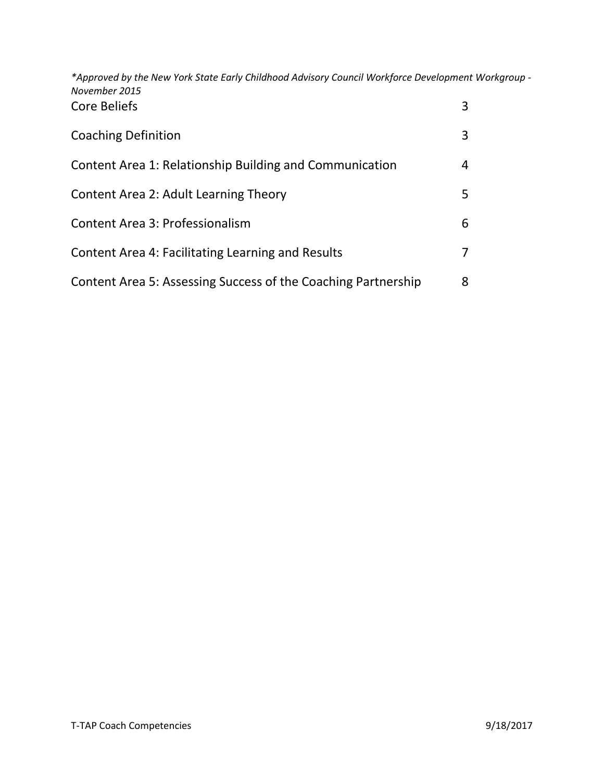| *Approved by the New York State Early Childhood Advisory Council Workforce Development Workgroup -<br>November 2015 |   |
|---------------------------------------------------------------------------------------------------------------------|---|
| Core Beliefs                                                                                                        | 3 |
| <b>Coaching Definition</b>                                                                                          | 3 |
| Content Area 1: Relationship Building and Communication                                                             | 4 |
| Content Area 2: Adult Learning Theory                                                                               | 5 |
| Content Area 3: Professionalism                                                                                     | 6 |
| Content Area 4: Facilitating Learning and Results                                                                   | 7 |
| Content Area 5: Assessing Success of the Coaching Partnership                                                       | 8 |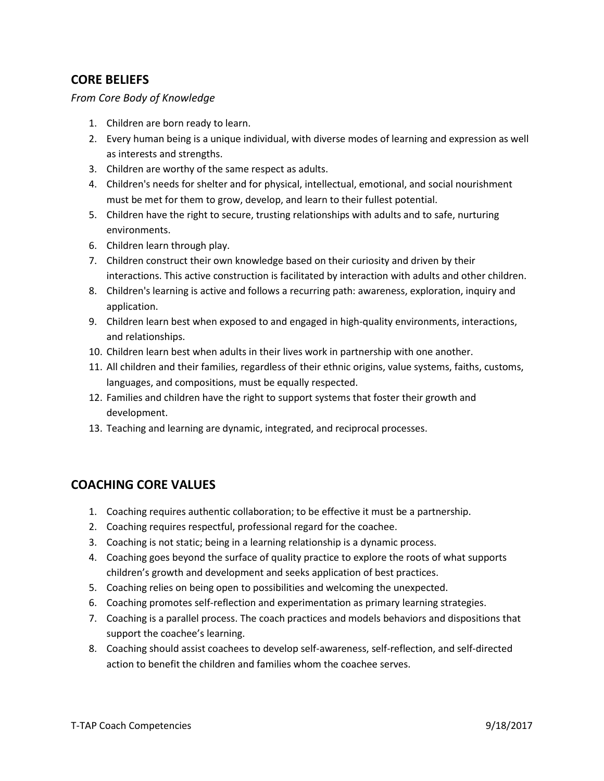### **CORE BELIEFS**

*From Core Body of Knowledge*

- 1. Children are born ready to learn.
- 2. Every human being is a unique individual, with diverse modes of learning and expression as well as interests and strengths.
- 3. Children are worthy of the same respect as adults.
- 4. Children's needs for shelter and for physical, intellectual, emotional, and social nourishment must be met for them to grow, develop, and learn to their fullest potential.
- 5. Children have the right to secure, trusting relationships with adults and to safe, nurturing environments.
- 6. Children learn through play.
- 7. Children construct their own knowledge based on their curiosity and driven by their interactions. This active construction is facilitated by interaction with adults and other children.
- 8. Children's learning is active and follows a recurring path: awareness, exploration, inquiry and application.
- 9. Children learn best when exposed to and engaged in high-quality environments, interactions, and relationships.
- 10. Children learn best when adults in their lives work in partnership with one another.
- 11. All children and their families, regardless of their ethnic origins, value systems, faiths, customs, languages, and compositions, must be equally respected.
- 12. Families and children have the right to support systems that foster their growth and development.
- 13. Teaching and learning are dynamic, integrated, and reciprocal processes.

#### **COACHING CORE VALUES**

- 1. Coaching requires authentic collaboration; to be effective it must be a partnership.
- 2. Coaching requires respectful, professional regard for the coachee.
- 3. Coaching is not static; being in a learning relationship is a dynamic process.
- 4. Coaching goes beyond the surface of quality practice to explore the roots of what supports children's growth and development and seeks application of best practices.
- 5. Coaching relies on being open to possibilities and welcoming the unexpected.
- 6. Coaching promotes self-reflection and experimentation as primary learning strategies.
- 7. Coaching is a parallel process. The coach practices and models behaviors and dispositions that support the coachee's learning.
- 8. Coaching should assist coachees to develop self-awareness, self-reflection, and self-directed action to benefit the children and families whom the coachee serves.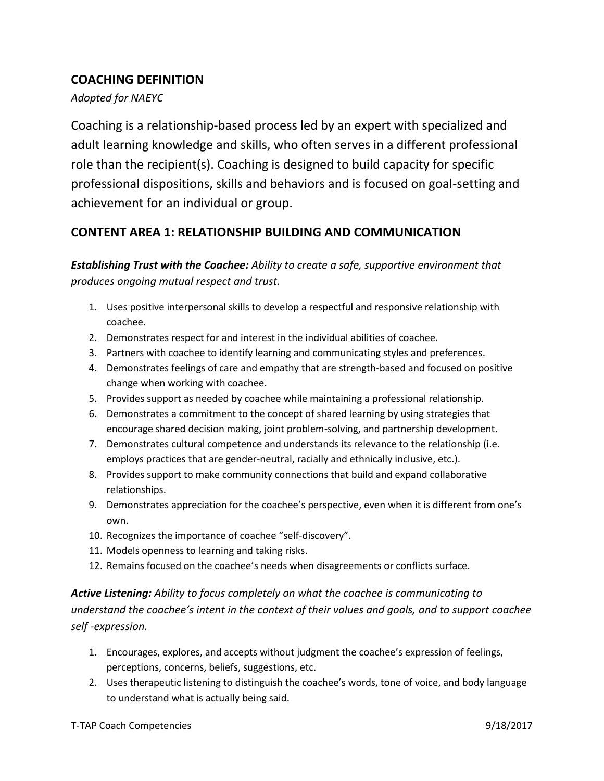## **COACHING DEFINITION**

*Adopted for NAEYC*

Coaching is a relationship-based process led by an expert with specialized and adult learning knowledge and skills, who often serves in a different professional role than the recipient(s). Coaching is designed to build capacity for specific professional dispositions, skills and behaviors and is focused on goal-setting and achievement for an individual or group.

## **CONTENT AREA 1: RELATIONSHIP BUILDING AND COMMUNICATION**

*Establishing Trust with the Coachee: Ability to create a safe, supportive environment that produces ongoing mutual respect and trust.*

- 1. Uses positive interpersonal skills to develop a respectful and responsive relationship with coachee.
- 2. Demonstrates respect for and interest in the individual abilities of coachee.
- 3. Partners with coachee to identify learning and communicating styles and preferences.
- 4. Demonstrates feelings of care and empathy that are strength-based and focused on positive change when working with coachee.
- 5. Provides support as needed by coachee while maintaining a professional relationship.
- 6. Demonstrates a commitment to the concept of shared learning by using strategies that encourage shared decision making, joint problem-solving, and partnership development.
- 7. Demonstrates cultural competence and understands its relevance to the relationship (i.e. employs practices that are gender-neutral, racially and ethnically inclusive, etc.).
- 8. Provides support to make community connections that build and expand collaborative relationships.
- 9. Demonstrates appreciation for the coachee's perspective, even when it is different from one's own.
- 10. Recognizes the importance of coachee "self-discovery".
- 11. Models openness to learning and taking risks.
- 12. Remains focused on the coachee's needs when disagreements or conflicts surface.

*Active Listening: Ability to focus completely on what the coachee is communicating to understand the coachee's intent in the context of their values and goals, and to support coachee self -expression.*

- 1. Encourages, explores, and accepts without judgment the coachee's expression of feelings, perceptions, concerns, beliefs, suggestions, etc.
- 2. Uses therapeutic listening to distinguish the coachee's words, tone of voice, and body language to understand what is actually being said.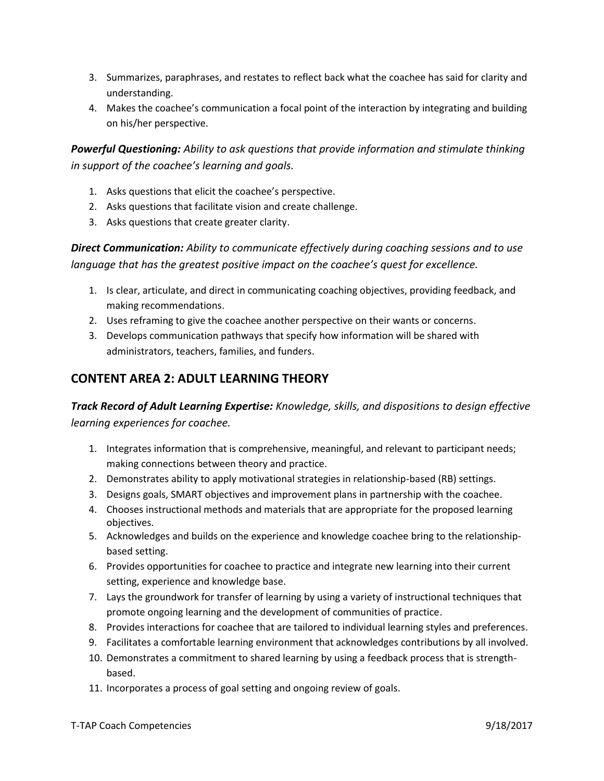- 3. Summarizes, paraphrases, and restates to reflect back what the coachee has said for clarity and understanding.
- 4. Makes the coachee's communication a focal point of the interaction by integrating and building on his/her perspective.

*Powerful Questioning: Ability to ask questions that provide information and stimulate thinking in support of the coachee's learning and goals.*

- 1. Asks questions that elicit the coachee's perspective.
- 2. Asks questions that facilitate vision and create challenge.
- 3. Asks questions that create greater clarity.

*Direct Communication: Ability to communicate effectively during coaching sessions and to use language that has the greatest positive impact on the coachee's quest for excellence.*

- 1. Is clear, articulate, and direct in communicating coaching objectives, providing feedback, and making recommendations.
- 2. Uses reframing to give the coachee another perspective on their wants or concerns.
- 3. Develops communication pathways that specify how information will be shared with administrators, teachers, families, and funders.

#### **CONTENT AREA 2: ADULT LEARNING THEORY**

*Track Record of Adult Learning Expertise: Knowledge, skills, and dispositions to design effective learning experiences for coachee.* 

- 1. Integrates information that is comprehensive, meaningful, and relevant to participant needs; making connections between theory and practice.
- 2. Demonstrates ability to apply motivational strategies in relationship-based (RB) settings.
- 3. Designs goals, SMART objectives and improvement plans in partnership with the coachee.
- 4. Chooses instructional methods and materials that are appropriate for the proposed learning objectives.
- 5. Acknowledges and builds on the experience and knowledge coachee bring to the relationshipbased setting.
- 6. Provides opportunities for coachee to practice and integrate new learning into their current setting, experience and knowledge base.
- 7. Lays the groundwork for transfer of learning by using a variety of instructional techniques that promote ongoing learning and the development of communities of practice.
- 8. Provides interactions for coachee that are tailored to individual learning styles and preferences.
- 9. Facilitates a comfortable learning environment that acknowledges contributions by all involved.
- 10. Demonstrates a commitment to shared learning by using a feedback process that is strengthbased.
- 11. Incorporates a process of goal setting and ongoing review of goals.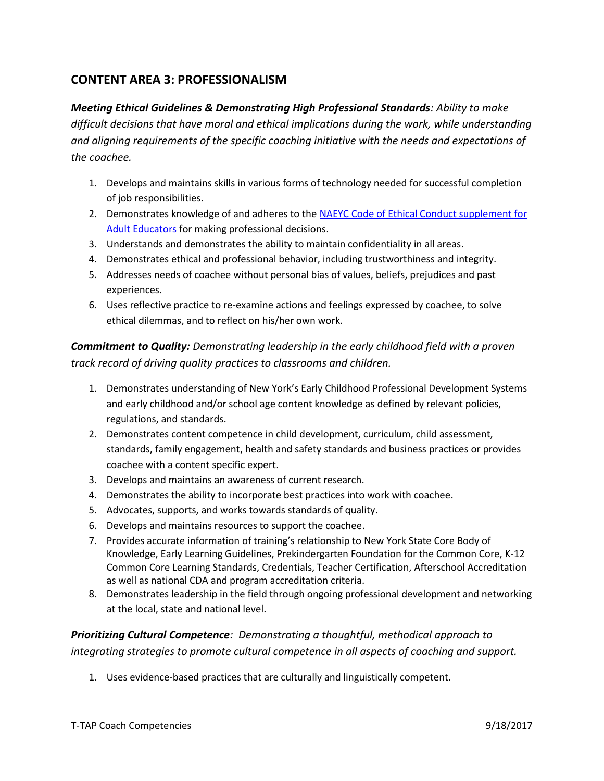## **CONTENT AREA 3: PROFESSIONALISM**

*Meeting Ethical Guidelines & Demonstrating High Professional Standards: Ability to make difficult decisions that have moral and ethical implications during the work, while understanding and aligning requirements of the specific coaching initiative with the needs and expectations of the coachee.* 

- 1. Develops and maintains skills in various forms of technology needed for successful completion of job responsibilities.
- 2. Demonstrates knowledge of and adheres to the [NAEYC Code of Ethical Conduct supplement for](https://www.naeyc.org/files/naeyc/file/positions/ethics04.pdf)  [Adult Educators](https://www.naeyc.org/files/naeyc/file/positions/ethics04.pdf) for making professional decisions.
- 3. Understands and demonstrates the ability to maintain confidentiality in all areas.
- 4. Demonstrates ethical and professional behavior, including trustworthiness and integrity.
- 5. Addresses needs of coachee without personal bias of values, beliefs, prejudices and past experiences.
- 6. Uses reflective practice to re-examine actions and feelings expressed by coachee, to solve ethical dilemmas, and to reflect on his/her own work.

*Commitment to Quality: Demonstrating leadership in the early childhood field with a proven track record of driving quality practices to classrooms and children.* 

- 1. Demonstrates understanding of New York's Early Childhood Professional Development Systems and early childhood and/or school age content knowledge as defined by relevant policies, regulations, and standards.
- 2. Demonstrates content competence in child development, curriculum, child assessment, standards, family engagement, health and safety standards and business practices or provides coachee with a content specific expert.
- 3. Develops and maintains an awareness of current research.
- 4. Demonstrates the ability to incorporate best practices into work with coachee.
- 5. Advocates, supports, and works towards standards of quality.
- 6. Develops and maintains resources to support the coachee.
- 7. Provides accurate information of training's relationship to New York State Core Body of Knowledge, Early Learning Guidelines, Prekindergarten Foundation for the Common Core, K-12 Common Core Learning Standards, Credentials, Teacher Certification, Afterschool Accreditation as well as national CDA and program accreditation criteria.
- 8. Demonstrates leadership in the field through ongoing professional development and networking at the local, state and national level.

*Prioritizing Cultural Competence: Demonstrating a thoughtful, methodical approach to integrating strategies to promote cultural competence in all aspects of coaching and support.* 

1. Uses evidence-based practices that are culturally and linguistically competent.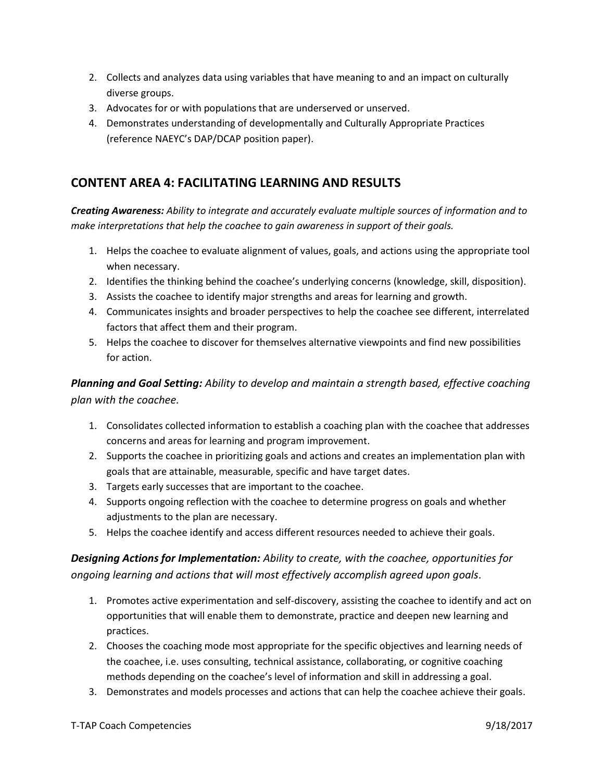- 2. Collects and analyzes data using variables that have meaning to and an impact on culturally diverse groups.
- 3. Advocates for or with populations that are underserved or unserved.
- 4. Demonstrates understanding of developmentally and Culturally Appropriate Practices (reference NAEYC's DAP/DCAP position paper).

#### **CONTENT AREA 4: FACILITATING LEARNING AND RESULTS**

*Creating Awareness: Ability to integrate and accurately evaluate multiple sources of information and to make interpretations that help the coachee to gain awareness in support of their goals.*

- 1. Helps the coachee to evaluate alignment of values, goals, and actions using the appropriate tool when necessary.
- 2. Identifies the thinking behind the coachee's underlying concerns (knowledge, skill, disposition).
- 3. Assists the coachee to identify major strengths and areas for learning and growth.
- 4. Communicates insights and broader perspectives to help the coachee see different, interrelated factors that affect them and their program.
- 5. Helps the coachee to discover for themselves alternative viewpoints and find new possibilities for action.

*Planning and Goal Setting: Ability to develop and maintain a strength based, effective coaching plan with the coachee.*

- 1. Consolidates collected information to establish a coaching plan with the coachee that addresses concerns and areas for learning and program improvement.
- 2. Supports the coachee in prioritizing goals and actions and creates an implementation plan with goals that are attainable, measurable, specific and have target dates.
- 3. Targets early successes that are important to the coachee.
- 4. Supports ongoing reflection with the coachee to determine progress on goals and whether adjustments to the plan are necessary.
- 5. Helps the coachee identify and access different resources needed to achieve their goals.

*Designing Actions for Implementation: Ability to create, with the coachee, opportunities for ongoing learning and actions that will most effectively accomplish agreed upon goals.*

- 1. Promotes active experimentation and self-discovery, assisting the coachee to identify and act on opportunities that will enable them to demonstrate, practice and deepen new learning and practices.
- 2. Chooses the coaching mode most appropriate for the specific objectives and learning needs of the coachee, i.e. uses consulting, technical assistance, collaborating, or cognitive coaching methods depending on the coachee's level of information and skill in addressing a goal.
- 3. Demonstrates and models processes and actions that can help the coachee achieve their goals.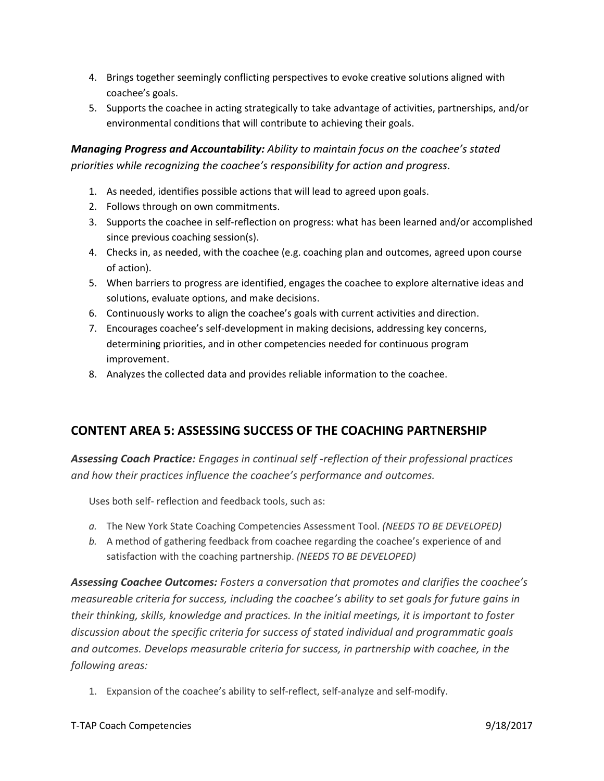- 4. Brings together seemingly conflicting perspectives to evoke creative solutions aligned with coachee's goals.
- 5. Supports the coachee in acting strategically to take advantage of activities, partnerships, and/or environmental conditions that will contribute to achieving their goals.

*Managing Progress and Accountability: Ability to maintain focus on the coachee's stated priorities while recognizing the coachee's responsibility for action and progress.*

- 1. As needed, identifies possible actions that will lead to agreed upon goals.
- 2. Follows through on own commitments.
- 3. Supports the coachee in self-reflection on progress: what has been learned and/or accomplished since previous coaching session(s).
- 4. Checks in, as needed, with the coachee (e.g. coaching plan and outcomes, agreed upon course of action).
- 5. When barriers to progress are identified, engages the coachee to explore alternative ideas and solutions, evaluate options, and make decisions.
- 6. Continuously works to align the coachee's goals with current activities and direction.
- 7. Encourages coachee's self-development in making decisions, addressing key concerns, determining priorities, and in other competencies needed for continuous program improvement.
- 8. Analyzes the collected data and provides reliable information to the coachee.

## **CONTENT AREA 5: ASSESSING SUCCESS OF THE COACHING PARTNERSHIP**

*Assessing Coach Practice: Engages in continual self -reflection of their professional practices and how their practices influence the coachee's performance and outcomes.* 

Uses both self- reflection and feedback tools, such as:

- *a.* The New York State Coaching Competencies Assessment Tool. *(NEEDS TO BE DEVELOPED)*
- *b.* A method of gathering feedback from coachee regarding the coachee's experience of and satisfaction with the coaching partnership. *(NEEDS TO BE DEVELOPED)*

*Assessing Coachee Outcomes: Fosters a conversation that promotes and clarifies the coachee's measureable criteria for success, including the coachee's ability to set goals for future gains in their thinking, skills, knowledge and practices. In the initial meetings, it is important to foster discussion about the specific criteria for success of stated individual and programmatic goals and outcomes. Develops measurable criteria for success, in partnership with coachee, in the following areas:*

1. Expansion of the coachee's ability to self-reflect, self-analyze and self-modify.